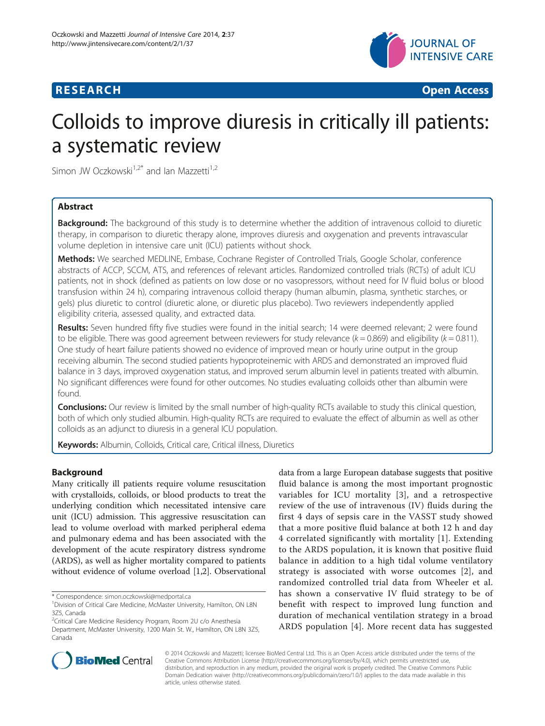

**RESEARCH CHINESE ARCH CHINESE ARCH CHINESE ARCH <b>CHINESE ARCH** 

# Colloids to improve diuresis in critically ill patients: a systematic review

Simon JW Oczkowski<sup>1,2\*</sup> and Ian Mazzetti<sup>1,2</sup>

# Abstract

**Background:** The background of this study is to determine whether the addition of intravenous colloid to diuretic therapy, in comparison to diuretic therapy alone, improves diuresis and oxygenation and prevents intravascular volume depletion in intensive care unit (ICU) patients without shock.

Methods: We searched MEDLINE, Embase, Cochrane Register of Controlled Trials, Google Scholar, conference abstracts of ACCP, SCCM, ATS, and references of relevant articles. Randomized controlled trials (RCTs) of adult ICU patients, not in shock (defined as patients on low dose or no vasopressors, without need for IV fluid bolus or blood transfusion within 24 h), comparing intravenous colloid therapy (human albumin, plasma, synthetic starches, or gels) plus diuretic to control (diuretic alone, or diuretic plus placebo). Two reviewers independently applied eligibility criteria, assessed quality, and extracted data.

Results: Seven hundred fifty five studies were found in the initial search; 14 were deemed relevant; 2 were found to be eligible. There was good agreement between reviewers for study relevance ( $k = 0.869$ ) and eligibility ( $k = 0.811$ ). One study of heart failure patients showed no evidence of improved mean or hourly urine output in the group receiving albumin. The second studied patients hypoproteinemic with ARDS and demonstrated an improved fluid balance in 3 days, improved oxygenation status, and improved serum albumin level in patients treated with albumin. No significant differences were found for other outcomes. No studies evaluating colloids other than albumin were found.

Conclusions: Our review is limited by the small number of high-quality RCTs available to study this clinical question, both of which only studied albumin. High-quality RCTs are required to evaluate the effect of albumin as well as other colloids as an adjunct to diuresis in a general ICU population.

Keywords: Albumin, Colloids, Critical care, Critical illness, Diuretics

### Background

Many critically ill patients require volume resuscitation with crystalloids, colloids, or blood products to treat the underlying condition which necessitated intensive care unit (ICU) admission. This aggressive resuscitation can lead to volume overload with marked peripheral edema and pulmonary edema and has been associated with the development of the acute respiratory distress syndrome (ARDS), as well as higher mortality compared to patients without evidence of volume overload [\[1,2](#page-5-0)]. Observational

data from a large European database suggests that positive fluid balance is among the most important prognostic variables for ICU mortality [[3](#page-5-0)], and a retrospective review of the use of intravenous (IV) fluids during the first 4 days of sepsis care in the VASST study showed that a more positive fluid balance at both 12 h and day 4 correlated significantly with mortality [[1\]](#page-5-0). Extending to the ARDS population, it is known that positive fluid balance in addition to a high tidal volume ventilatory strategy is associated with worse outcomes [[2](#page-5-0)], and randomized controlled trial data from Wheeler et al. has shown a conservative IV fluid strategy to be of benefit with respect to improved lung function and duration of mechanical ventilation strategy in a broad ARDS population [[4](#page-5-0)]. More recent data has suggested



© 2014 Oczkowski and Mazzetti; licensee BioMed Central Ltd. This is an Open Access article distributed under the terms of the Creative Commons Attribution License (<http://creativecommons.org/licenses/by/4.0>), which permits unrestricted use, distribution, and reproduction in any medium, provided the original work is properly credited. The Creative Commons Public Domain Dedication waiver [\(http://creativecommons.org/publicdomain/zero/1.0/\)](http://creativecommons.org/publicdomain/zero/1.0/) applies to the data made available in this article, unless otherwise stated.

<sup>\*</sup> Correspondence: [simon.oczkowski@medportal.ca](mailto:simon.oczkowski@medportal.ca) <sup>1</sup>

<sup>&</sup>lt;sup>1</sup> Division of Critical Care Medicine, McMaster University, Hamilton, ON L8N 3Z5, Canada

<sup>2</sup> Critical Care Medicine Residency Program, Room 2U c/o Anesthesia Department, McMaster University, 1200 Main St. W., Hamilton, ON L8N 3Z5, Canada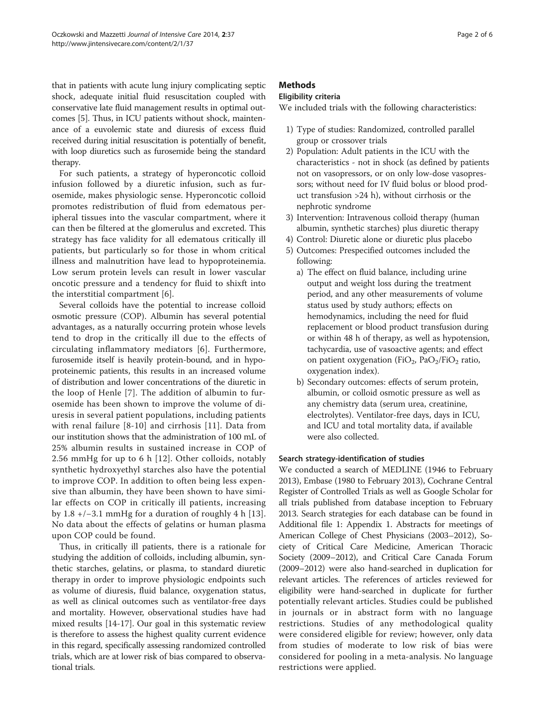that in patients with acute lung injury complicating septic shock, adequate initial fluid resuscitation coupled with conservative late fluid management results in optimal outcomes [\[5](#page-5-0)]. Thus, in ICU patients without shock, maintenance of a euvolemic state and diuresis of excess fluid received during initial resuscitation is potentially of benefit, with loop diuretics such as furosemide being the standard therapy.

For such patients, a strategy of hyperoncotic colloid infusion followed by a diuretic infusion, such as furosemide, makes physiologic sense. Hyperoncotic colloid promotes redistribution of fluid from edematous peripheral tissues into the vascular compartment, where it can then be filtered at the glomerulus and excreted. This strategy has face validity for all edematous critically ill patients, but particularly so for those in whom critical illness and malnutrition have lead to hypoproteinemia. Low serum protein levels can result in lower vascular oncotic pressure and a tendency for fluid to shixft into the interstitial compartment [[6\]](#page-5-0).

Several colloids have the potential to increase colloid osmotic pressure (COP). Albumin has several potential advantages, as a naturally occurring protein whose levels tend to drop in the critically ill due to the effects of circulating inflammatory mediators [[6\]](#page-5-0). Furthermore, furosemide itself is heavily protein-bound, and in hypoproteinemic patients, this results in an increased volume of distribution and lower concentrations of the diuretic in the loop of Henle [[7\]](#page-5-0). The addition of albumin to furosemide has been shown to improve the volume of diuresis in several patient populations, including patients with renal failure [[8](#page-5-0)-[10](#page-5-0)] and cirrhosis [[11](#page-5-0)]. Data from our institution shows that the administration of 100 mL of 25% albumin results in sustained increase in COP of 2.56 mmHg for up to 6 h [[12](#page-5-0)]. Other colloids, notably synthetic hydroxyethyl starches also have the potential to improve COP. In addition to often being less expensive than albumin, they have been shown to have similar effects on COP in critically ill patients, increasing by 1.8 +/−3.1 mmHg for a duration of roughly 4 h [[13](#page-5-0)]. No data about the effects of gelatins or human plasma upon COP could be found.

Thus, in critically ill patients, there is a rationale for studying the addition of colloids, including albumin, synthetic starches, gelatins, or plasma, to standard diuretic therapy in order to improve physiologic endpoints such as volume of diuresis, fluid balance, oxygenation status, as well as clinical outcomes such as ventilator-free days and mortality. However, observational studies have had mixed results [\[14-17](#page-5-0)]. Our goal in this systematic review is therefore to assess the highest quality current evidence in this regard, specifically assessing randomized controlled trials, which are at lower risk of bias compared to observational trials.

# **Methods**

# Eligibility criteria

We included trials with the following characteristics:

- 1) Type of studies: Randomized, controlled parallel group or crossover trials
- 2) Population: Adult patients in the ICU with the characteristics - not in shock (as defined by patients not on vasopressors, or on only low-dose vasopressors; without need for IV fluid bolus or blood product transfusion >24 h), without cirrhosis or the nephrotic syndrome
- 3) Intervention: Intravenous colloid therapy (human albumin, synthetic starches) plus diuretic therapy
- 4) Control: Diuretic alone or diuretic plus placebo
- 5) Outcomes: Prespecified outcomes included the following:
	- a) The effect on fluid balance, including urine output and weight loss during the treatment period, and any other measurements of volume status used by study authors; effects on hemodynamics, including the need for fluid replacement or blood product transfusion during or within 48 h of therapy, as well as hypotension, tachycardia, use of vasoactive agents; and effect on patient oxygenation (FiO<sub>2</sub>, PaO<sub>2</sub>/FiO<sub>2</sub> ratio, oxygenation index).
	- b) Secondary outcomes: effects of serum protein, albumin, or colloid osmotic pressure as well as any chemistry data (serum urea, creatinine, electrolytes). Ventilator-free days, days in ICU, and ICU and total mortality data, if available were also collected.

### Search strategy-identification of studies

We conducted a search of MEDLINE (1946 to February 2013), Embase (1980 to February 2013), Cochrane Central Register of Controlled Trials as well as Google Scholar for all trials published from database inception to February 2013. Search strategies for each database can be found in Additional file [1](#page-4-0): Appendix 1. Abstracts for meetings of American College of Chest Physicians (2003–2012), Society of Critical Care Medicine, American Thoracic Society (2009–2012), and Critical Care Canada Forum (2009–2012) were also hand-searched in duplication for relevant articles. The references of articles reviewed for eligibility were hand-searched in duplicate for further potentially relevant articles. Studies could be published in journals or in abstract form with no language restrictions. Studies of any methodological quality were considered eligible for review; however, only data from studies of moderate to low risk of bias were considered for pooling in a meta-analysis. No language restrictions were applied.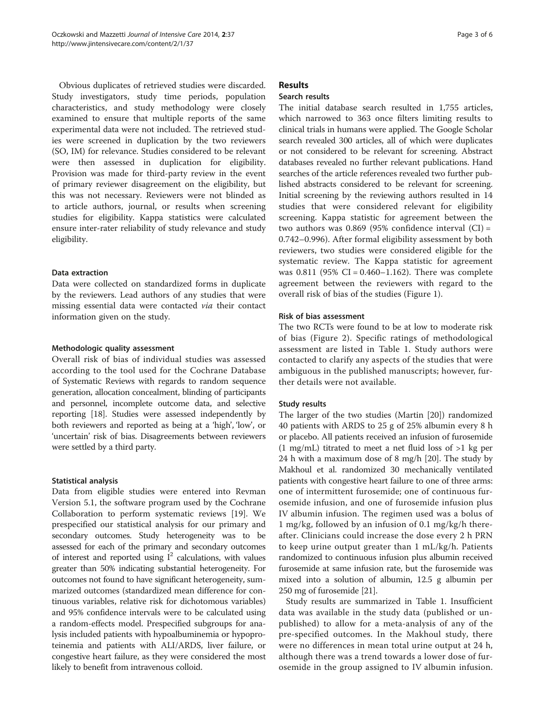Obvious duplicates of retrieved studies were discarded. Study investigators, study time periods, population characteristics, and study methodology were closely examined to ensure that multiple reports of the same experimental data were not included. The retrieved studies were screened in duplication by the two reviewers (SO, IM) for relevance. Studies considered to be relevant were then assessed in duplication for eligibility. Provision was made for third-party review in the event of primary reviewer disagreement on the eligibility, but this was not necessary. Reviewers were not blinded as to article authors, journal, or results when screening studies for eligibility. Kappa statistics were calculated ensure inter-rater reliability of study relevance and study eligibility.

#### Data extraction

Data were collected on standardized forms in duplicate by the reviewers. Lead authors of any studies that were missing essential data were contacted via their contact information given on the study.

#### Methodologic quality assessment

Overall risk of bias of individual studies was assessed according to the tool used for the Cochrane Database of Systematic Reviews with regards to random sequence generation, allocation concealment, blinding of participants and personnel, incomplete outcome data, and selective reporting [\[18\]](#page-5-0). Studies were assessed independently by both reviewers and reported as being at a 'high', 'low', or 'uncertain' risk of bias. Disagreements between reviewers were settled by a third party.

#### Statistical analysis

Data from eligible studies were entered into Revman Version 5.1, the software program used by the Cochrane Collaboration to perform systematic reviews [[19\]](#page-5-0). We prespecified our statistical analysis for our primary and secondary outcomes. Study heterogeneity was to be assessed for each of the primary and secondary outcomes of interest and reported using  $I^2$  calculations, with values greater than 50% indicating substantial heterogeneity. For outcomes not found to have significant heterogeneity, summarized outcomes (standardized mean difference for continuous variables, relative risk for dichotomous variables) and 95% confidence intervals were to be calculated using a random-effects model. Prespecified subgroups for analysis included patients with hypoalbuminemia or hypoproteinemia and patients with ALI/ARDS, liver failure, or congestive heart failure, as they were considered the most likely to benefit from intravenous colloid.

## Results

# Search results

The initial database search resulted in 1,755 articles, which narrowed to 363 once filters limiting results to clinical trials in humans were applied. The Google Scholar search revealed 300 articles, all of which were duplicates or not considered to be relevant for screening. Abstract databases revealed no further relevant publications. Hand searches of the article references revealed two further published abstracts considered to be relevant for screening. Initial screening by the reviewing authors resulted in 14 studies that were considered relevant for eligibility screening. Kappa statistic for agreement between the two authors was  $0.869$  (95% confidence interval (CI) = 0.742–0.996). After formal eligibility assessment by both reviewers, two studies were considered eligible for the systematic review. The Kappa statistic for agreement was  $0.811$  (95% CI =  $0.460 - 1.162$ ). There was complete agreement between the reviewers with regard to the overall risk of bias of the studies (Figure [1\)](#page-3-0).

### Risk of bias assessment

The two RCTs were found to be at low to moderate risk of bias (Figure [2](#page-3-0)). Specific ratings of methodological assessment are listed in Table [1.](#page-4-0) Study authors were contacted to clarify any aspects of the studies that were ambiguous in the published manuscripts; however, further details were not available.

### Study results

The larger of the two studies (Martin [\[20\]](#page-5-0)) randomized 40 patients with ARDS to 25 g of 25% albumin every 8 h or placebo. All patients received an infusion of furosemide  $(1 \text{ mg/mL})$  titrated to meet a net fluid loss of  $>1$  kg per 24 h with a maximum dose of 8 mg/h [\[20\]](#page-5-0). The study by Makhoul et al. randomized 30 mechanically ventilated patients with congestive heart failure to one of three arms: one of intermittent furosemide; one of continuous furosemide infusion, and one of furosemide infusion plus IV albumin infusion. The regimen used was a bolus of 1 mg/kg, followed by an infusion of 0.1 mg/kg/h thereafter. Clinicians could increase the dose every 2 h PRN to keep urine output greater than 1 mL/kg/h. Patients randomized to continuous infusion plus albumin received furosemide at same infusion rate, but the furosemide was mixed into a solution of albumin, 12.5 g albumin per 250 mg of furosemide [\[21\]](#page-5-0).

Study results are summarized in Table [1](#page-4-0). Insufficient data was available in the study data (published or unpublished) to allow for a meta-analysis of any of the pre-specified outcomes. In the Makhoul study, there were no differences in mean total urine output at 24 h, although there was a trend towards a lower dose of furosemide in the group assigned to IV albumin infusion.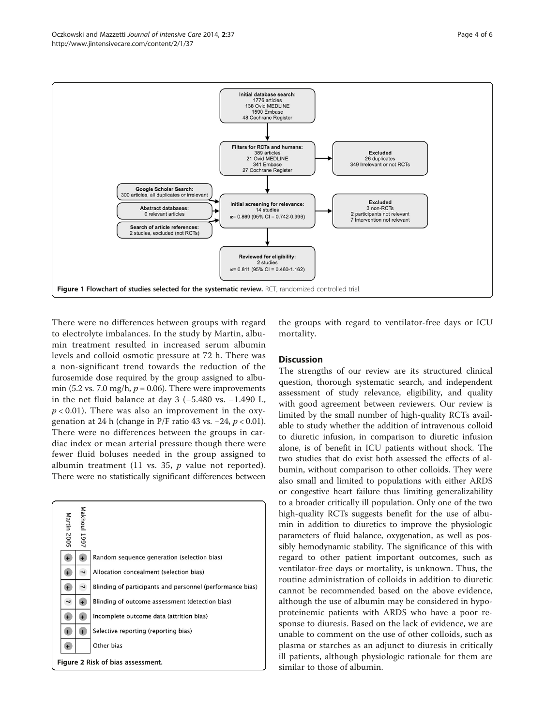<span id="page-3-0"></span>

There were no differences between groups with regard to electrolyte imbalances. In the study by Martin, albumin treatment resulted in increased serum albumin levels and colloid osmotic pressure at 72 h. There was a non-significant trend towards the reduction of the furosemide dose required by the group assigned to albumin (5.2 vs. 7.0 mg/h,  $p = 0.06$ ). There were improvements in the net fluid balance at day 3 (−5.480 vs. −1.490 L,  $p < 0.01$ ). There was also an improvement in the oxygenation at 24 h (change in P/F ratio 43 vs.  $-24$ ,  $p < 0.01$ ). There were no differences between the groups in cardiac index or mean arterial pressure though there were fewer fluid boluses needed in the group assigned to albumin treatment (11 vs. 35,  $p$  value not reported). There were no statistically significant differences between



the groups with regard to ventilator-free days or ICU mortality.

#### **Discussion**

The strengths of our review are its structured clinical question, thorough systematic search, and independent assessment of study relevance, eligibility, and quality with good agreement between reviewers. Our review is limited by the small number of high-quality RCTs available to study whether the addition of intravenous colloid to diuretic infusion, in comparison to diuretic infusion alone, is of benefit in ICU patients without shock. The two studies that do exist both assessed the effects of albumin, without comparison to other colloids. They were also small and limited to populations with either ARDS or congestive heart failure thus limiting generalizability to a broader critically ill population. Only one of the two high-quality RCTs suggests benefit for the use of albumin in addition to diuretics to improve the physiologic parameters of fluid balance, oxygenation, as well as possibly hemodynamic stability. The significance of this with regard to other patient important outcomes, such as ventilator-free days or mortality, is unknown. Thus, the routine administration of colloids in addition to diuretic cannot be recommended based on the above evidence, although the use of albumin may be considered in hypoproteinemic patients with ARDS who have a poor response to diuresis. Based on the lack of evidence, we are unable to comment on the use of other colloids, such as plasma or starches as an adjunct to diuresis in critically ill patients, although physiologic rationale for them are similar to those of albumin.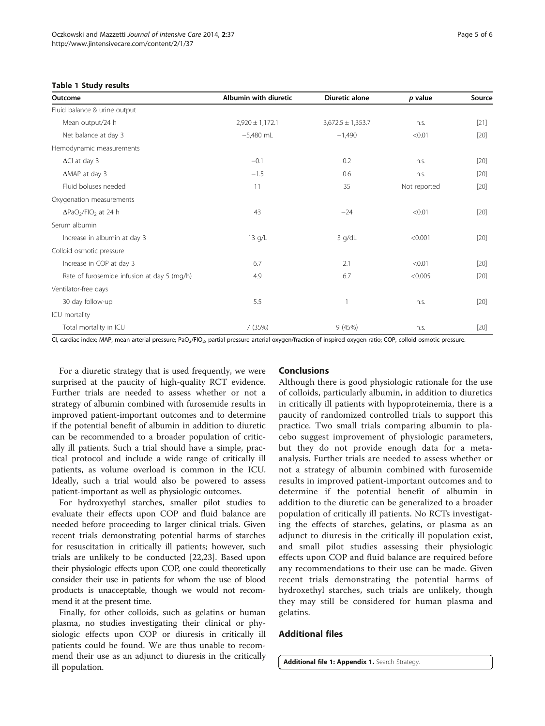#### <span id="page-4-0"></span>Table 1 Study results

| Outcome                                             | Albumin with diuretic | Diuretic alone        | $p$ value    | Source |
|-----------------------------------------------------|-----------------------|-----------------------|--------------|--------|
| Fluid balance & urine output                        |                       |                       |              |        |
| Mean output/24 h                                    | $2,920 \pm 1,172.1$   | $3,672.5 \pm 1,353.7$ | n.s.         | $[21]$ |
| Net balance at day 3                                | $-5,480$ mL           | $-1,490$              | < 0.01       | $[20]$ |
| Hemodynamic measurements                            |                       |                       |              |        |
| $\Delta$ Cl at day 3                                | $-0.1$                | 0.2                   | n.s.         | $[20]$ |
| $\triangle$ MAP at day 3                            | $-1.5$                | 0.6                   | n.S.         | $[20]$ |
| Fluid boluses needed                                | 11                    | 35                    | Not reported | $[20]$ |
| Oxygenation measurements                            |                       |                       |              |        |
| $\Delta$ PaO <sub>2</sub> /FIO <sub>2</sub> at 24 h | 43                    | $-24$                 | < 0.01       | $[20]$ |
| Serum albumin                                       |                       |                       |              |        |
| Increase in albumin at day 3                        | $13$ g/L              | $3$ g/dL              | < 0.001      | $[20]$ |
| Colloid osmotic pressure                            |                       |                       |              |        |
| Increase in COP at day 3                            | 6.7                   | 2.1                   | < 0.01       | $[20]$ |
| Rate of furosemide infusion at day 5 (mg/h)         | 4.9                   | 6.7                   | < 0.005      | $[20]$ |
| Ventilator-free days                                |                       |                       |              |        |
| 30 day follow-up                                    | 5.5                   |                       | n.s.         | $[20]$ |
| ICU mortality                                       |                       |                       |              |        |
| Total mortality in ICU                              | 7 (35%)               | 9(45%)                | n.s.         | $[20]$ |

CI, cardiac index; MAP, mean arterial pressure; PaO<sub>2</sub>/FIO<sub>2</sub>, partial pressure arterial oxygen/fraction of inspired oxygen ratio; COP, colloid osmotic pressure.

For a diuretic strategy that is used frequently, we were surprised at the paucity of high-quality RCT evidence. Further trials are needed to assess whether or not a strategy of albumin combined with furosemide results in improved patient-important outcomes and to determine if the potential benefit of albumin in addition to diuretic can be recommended to a broader population of critically ill patients. Such a trial should have a simple, practical protocol and include a wide range of critically ill patients, as volume overload is common in the ICU. Ideally, such a trial would also be powered to assess patient-important as well as physiologic outcomes.

For hydroxyethyl starches, smaller pilot studies to evaluate their effects upon COP and fluid balance are needed before proceeding to larger clinical trials. Given recent trials demonstrating potential harms of starches for resuscitation in critically ill patients; however, such trials are unlikely to be conducted [\[22,23\]](#page-5-0). Based upon their physiologic effects upon COP, one could theoretically consider their use in patients for whom the use of blood products is unacceptable, though we would not recommend it at the present time.

Finally, for other colloids, such as gelatins or human plasma, no studies investigating their clinical or physiologic effects upon COP or diuresis in critically ill patients could be found. We are thus unable to recommend their use as an adjunct to diuresis in the critically ill population.

#### **Conclusions**

Although there is good physiologic rationale for the use of colloids, particularly albumin, in addition to diuretics in critically ill patients with hypoproteinemia, there is a paucity of randomized controlled trials to support this practice. Two small trials comparing albumin to placebo suggest improvement of physiologic parameters, but they do not provide enough data for a metaanalysis. Further trials are needed to assess whether or not a strategy of albumin combined with furosemide results in improved patient-important outcomes and to determine if the potential benefit of albumin in addition to the diuretic can be generalized to a broader population of critically ill patients. No RCTs investigating the effects of starches, gelatins, or plasma as an adjunct to diuresis in the critically ill population exist, and small pilot studies assessing their physiologic effects upon COP and fluid balance are required before any recommendations to their use can be made. Given recent trials demonstrating the potential harms of hydroxethyl starches, such trials are unlikely, though they may still be considered for human plasma and gelatins.

# Additional files

[Additional file 1: Appendix 1.](http://www.biomedcentral.com/content/supplementary/2052-0492-2-37-S1.pdf) Search Strategy